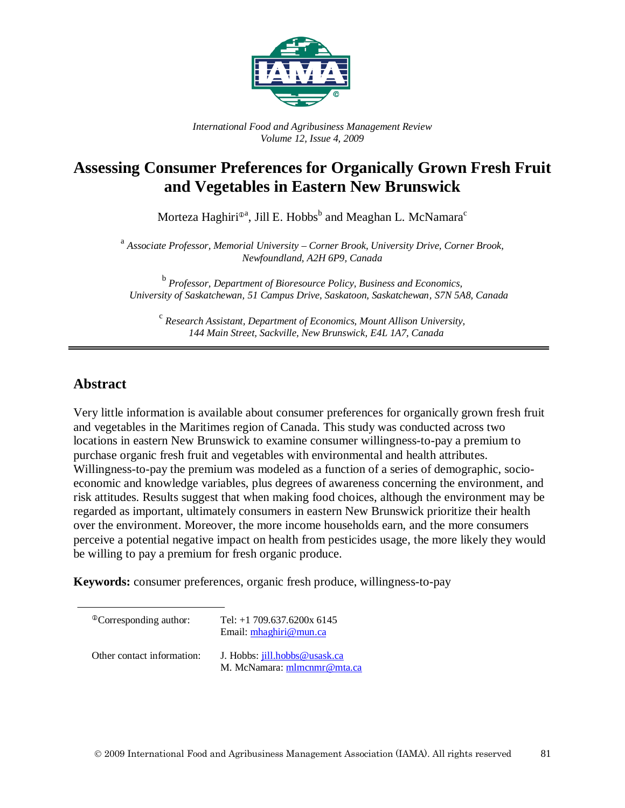

*International Food and Agribusiness Management Review Volume 12, Issue 4, 2009*

## **Assessing Consumer Preferences for Organically Grown Fresh Fruit and Vegetables in Eastern New Brunswick**

Morteza Haghiri®ª, Jill E. Hobbs $^{\rm b}$  and Meaghan L. McNamara $^{\rm c}$ 

<sup>a</sup> *Associate Professor, Memorial University – Corner Brook, University Drive, Corner Brook, Newfoundland, A2H 6P9, Canada*

<sup>b</sup> *Professor, Department of Bioresource Policy, Business and Economics, University of Saskatchewan, 51 Campus Drive, Saskatoon, Saskatchewan, S7N 5A8, Canada*

<sup>c</sup> *Research Assistant, Department of Economics, Mount Allison University, 144 Main Street, Sackville, New Brunswick, E4L 1A7, Canada*

## **Abstract**

Very little information is available about consumer preferences for organically grown fresh fruit and vegetables in the Maritimes region of Canada. This study was conducted across two locations in eastern New Brunswick to examine consumer willingness-to-pay a premium to purchase organic fresh fruit and vegetables with environmental and health attributes. Willingness-to-pay the premium was modeled as a function of a series of demographic, socioeconomic and knowledge variables, plus degrees of awareness concerning the environment, and risk attitudes. Results suggest that when making food choices, although the environment may be regarded as important, ultimately consumers in eastern New Brunswick prioritize their health over the environment. Moreover, the more income households earn, and the more consumers perceive a potential negative impact on health from pesticides usage, the more likely they would be willing to pay a premium for fresh organic produce.

**Keywords:** consumer preferences, organic fresh produce, willingness-to-pay

| <sup>The</sup> Corresponding author: | Tel: $+1$ 709.637.6200x 6145<br>Email: $mhaghiri@mun.ca$     |
|--------------------------------------|--------------------------------------------------------------|
| Other contact information:           | J. Hobbs: jill.hobbs@usask.ca<br>M. McNamara: mlmcnmr@mta.ca |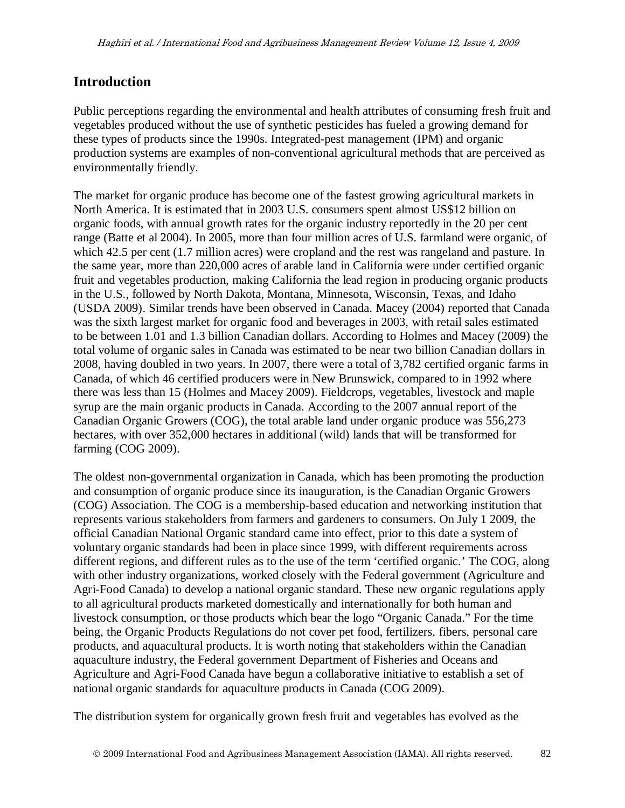## **Introduction**

Public perceptions regarding the environmental and health attributes of consuming fresh fruit and vegetables produced without the use of synthetic pesticides has fueled a growing demand for these types of products since the 1990s. Integrated-pest management (IPM) and organic production systems are examples of non-conventional agricultural methods that are perceived as environmentally friendly.

The market for organic produce has become one of the fastest growing agricultural markets in North America. It is estimated that in 2003 U.S. consumers spent almost US\$12 billion on organic foods, with annual growth rates for the organic industry reportedly in the 20 per cent range (Batte et al 2004). In 2005, more than four million acres of U.S. farmland were organic, of which 42.5 per cent (1.7 million acres) were cropland and the rest was rangeland and pasture. In the same year, more than 220,000 acres of arable land in California were under certified organic fruit and vegetables production, making California the lead region in producing organic products in the U.S., followed by North Dakota, Montana, Minnesota, Wisconsin, Texas, and Idaho (USDA 2009). Similar trends have been observed in Canada. Macey (2004) reported that Canada was the sixth largest market for organic food and beverages in 2003, with retail sales estimated to be between 1.01 and 1.3 billion Canadian dollars. According to Holmes and Macey (2009) the total volume of organic sales in Canada was estimated to be near two billion Canadian dollars in 2008, having doubled in two years. In 2007, there were a total of 3,782 certified organic farms in Canada, of which 46 certified producers were in New Brunswick, compared to in 1992 where there was less than 15 (Holmes and Macey 2009). Fieldcrops, vegetables, livestock and maple syrup are the main organic products in Canada. According to the 2007 annual report of the Canadian Organic Growers (COG), the total arable land under organic produce was 556,273 hectares, with over 352,000 hectares in additional (wild) lands that will be transformed for farming (COG 2009).

The oldest non-governmental organization in Canada, which has been promoting the production and consumption of organic produce since its inauguration, is the Canadian Organic Growers (COG) Association. The COG is a membership-based education and networking institution that represents various stakeholders from farmers and gardeners to consumers. On July 1 2009, the official Canadian National Organic standard came into effect, prior to this date a system of voluntary organic standards had been in place since 1999, with different requirements across different regions, and different rules as to the use of the term 'certified organic.' The COG, along with other industry organizations, worked closely with the Federal government (Agriculture and Agri-Food Canada) to develop a national organic standard. These new organic regulations apply to all agricultural products marketed domestically and internationally for both human and livestock consumption, or those products which bear the logo "Organic Canada." For the time being, the Organic Products Regulations do not cover pet food, fertilizers, fibers, personal care products, and aquacultural products. It is worth noting that stakeholders within the Canadian aquaculture industry, the Federal government Department of Fisheries and Oceans and Agriculture and Agri-Food Canada have begun a collaborative initiative to establish a set of national organic standards for aquaculture products in Canada (COG 2009).

The distribution system for organically grown fresh fruit and vegetables has evolved as the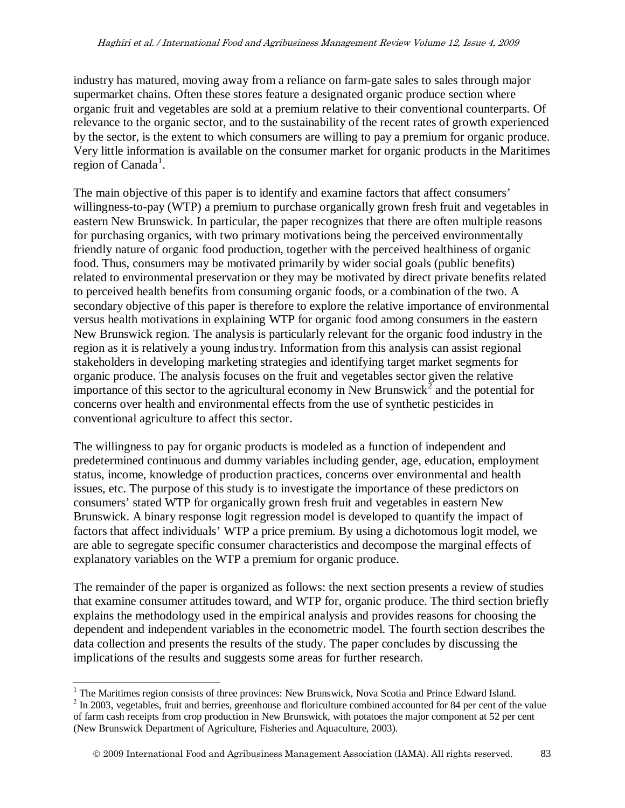industry has matured, moving away from a reliance on farm-gate sales to sales through major supermarket chains. Often these stores feature a designated organic produce section where organic fruit and vegetables are sold at a premium relative to their conventional counterparts. Of relevance to the organic sector, and to the sustainability of the recent rates of growth experienced by the sector, is the extent to which consumers are willing to pay a premium for organic produce. Very little information is available on the consumer market for organic products in the Maritimes region of Canada<sup>[1](#page-2-0)</sup>.

The main objective of this paper is to identify and examine factors that affect consumers' willingness-to-pay (WTP) a premium to purchase organically grown fresh fruit and vegetables in eastern New Brunswick. In particular, the paper recognizes that there are often multiple reasons for purchasing organics, with two primary motivations being the perceived environmentally friendly nature of organic food production, together with the perceived healthiness of organic food. Thus, consumers may be motivated primarily by wider social goals (public benefits) related to environmental preservation or they may be motivated by direct private benefits related to perceived health benefits from consuming organic foods, or a combination of the two. A secondary objective of this paper is therefore to explore the relative importance of environmental versus health motivations in explaining WTP for organic food among consumers in the eastern New Brunswick region. The analysis is particularly relevant for the organic food industry in the region as it is relatively a young industry. Information from this analysis can assist regional stakeholders in developing marketing strategies and identifying target market segments for organic produce. The analysis focuses on the fruit and vegetables sector given the relative importance of this sector to the agricultural economy in New Brunswick<sup>[2](#page-2-1)</sup> and the potential for concerns over health and environmental effects from the use of synthetic pesticides in conventional agriculture to affect this sector.

The willingness to pay for organic products is modeled as a function of independent and predetermined continuous and dummy variables including gender, age, education, employment status, income, knowledge of production practices, concerns over environmental and health issues, etc. The purpose of this study is to investigate the importance of these predictors on consumers' stated WTP for organically grown fresh fruit and vegetables in eastern New Brunswick. A binary response logit regression model is developed to quantify the impact of factors that affect individuals' WTP a price premium. By using a dichotomous logit model, we are able to segregate specific consumer characteristics and decompose the marginal effects of explanatory variables on the WTP a premium for organic produce.

The remainder of the paper is organized as follows: the next section presents a review of studies that examine consumer attitudes toward, and WTP for, organic produce. The third section briefly explains the methodology used in the empirical analysis and provides reasons for choosing the dependent and independent variables in the econometric model. The fourth section describes the data collection and presents the results of the study. The paper concludes by discussing the implications of the results and suggests some areas for further research.

<span id="page-2-0"></span><sup>&</sup>lt;sup>1</sup> The Maritimes region consists of three provinces: New Brunswick, Nova Scotia and Prince Edward Island.

<span id="page-2-1"></span><sup>&</sup>lt;sup>2</sup> In 2003, vegetables, fruit and berries, greenhouse and floriculture combined accounted for 84 per cent of the value of farm cash receipts from crop production in New Brunswick, with potatoes the major component at 52 per cent (New Brunswick Department of Agriculture, Fisheries and Aquaculture, 2003).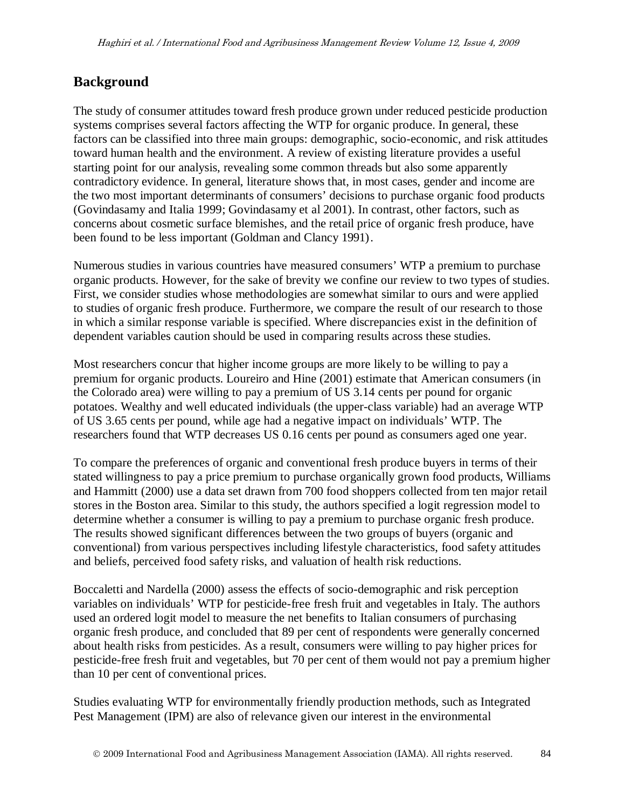## **Background**

The study of consumer attitudes toward fresh produce grown under reduced pesticide production systems comprises several factors affecting the WTP for organic produce. In general, these factors can be classified into three main groups: demographic, socio-economic, and risk attitudes toward human health and the environment. A review of existing literature provides a useful starting point for our analysis, revealing some common threads but also some apparently contradictory evidence. In general, literature shows that, in most cases, gender and income are the two most important determinants of consumers' decisions to purchase organic food products (Govindasamy and Italia 1999; Govindasamy et al 2001). In contrast, other factors, such as concerns about cosmetic surface blemishes, and the retail price of organic fresh produce, have been found to be less important (Goldman and Clancy 1991).

Numerous studies in various countries have measured consumers' WTP a premium to purchase organic products. However, for the sake of brevity we confine our review to two types of studies. First, we consider studies whose methodologies are somewhat similar to ours and were applied to studies of organic fresh produce. Furthermore, we compare the result of our research to those in which a similar response variable is specified. Where discrepancies exist in the definition of dependent variables caution should be used in comparing results across these studies.

Most researchers concur that higher income groups are more likely to be willing to pay a premium for organic products. Loureiro and Hine (2001) estimate that American consumers (in the Colorado area) were willing to pay a premium of US 3.14 cents per pound for organic potatoes. Wealthy and well educated individuals (the upper-class variable) had an average WTP of US 3.65 cents per pound, while age had a negative impact on individuals' WTP. The researchers found that WTP decreases US 0.16 cents per pound as consumers aged one year.

To compare the preferences of organic and conventional fresh produce buyers in terms of their stated willingness to pay a price premium to purchase organically grown food products, Williams and Hammitt (2000) use a data set drawn from 700 food shoppers collected from ten major retail stores in the Boston area. Similar to this study, the authors specified a logit regression model to determine whether a consumer is willing to pay a premium to purchase organic fresh produce. The results showed significant differences between the two groups of buyers (organic and conventional) from various perspectives including lifestyle characteristics, food safety attitudes and beliefs, perceived food safety risks, and valuation of health risk reductions.

Boccaletti and Nardella (2000) assess the effects of socio-demographic and risk perception variables on individuals' WTP for pesticide-free fresh fruit and vegetables in Italy. The authors used an ordered logit model to measure the net benefits to Italian consumers of purchasing organic fresh produce, and concluded that 89 per cent of respondents were generally concerned about health risks from pesticides. As a result, consumers were willing to pay higher prices for pesticide-free fresh fruit and vegetables, but 70 per cent of them would not pay a premium higher than 10 per cent of conventional prices.

Studies evaluating WTP for environmentally friendly production methods, such as Integrated Pest Management (IPM) are also of relevance given our interest in the environmental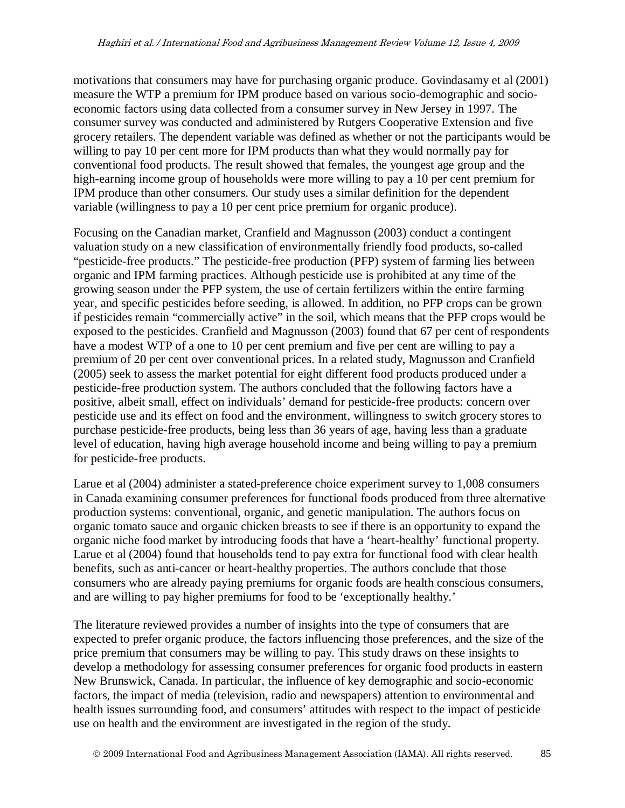motivations that consumers may have for purchasing organic produce. Govindasamy et al (2001) measure the WTP a premium for IPM produce based on various socio-demographic and socioeconomic factors using data collected from a consumer survey in New Jersey in 1997. The consumer survey was conducted and administered by Rutgers Cooperative Extension and five grocery retailers. The dependent variable was defined as whether or not the participants would be willing to pay 10 per cent more for IPM products than what they would normally pay for conventional food products. The result showed that females, the youngest age group and the high-earning income group of households were more willing to pay a 10 per cent premium for IPM produce than other consumers. Our study uses a similar definition for the dependent variable (willingness to pay a 10 per cent price premium for organic produce).

Focusing on the Canadian market, Cranfield and Magnusson (2003) conduct a contingent valuation study on a new classification of environmentally friendly food products, so-called "pesticide-free products." The pesticide-free production (PFP) system of farming lies between organic and IPM farming practices. Although pesticide use is prohibited at any time of the growing season under the PFP system, the use of certain fertilizers within the entire farming year, and specific pesticides before seeding, is allowed. In addition, no PFP crops can be grown if pesticides remain "commercially active" in the soil, which means that the PFP crops would be exposed to the pesticides. Cranfield and Magnusson (2003) found that 67 per cent of respondents have a modest WTP of a one to 10 per cent premium and five per cent are willing to pay a premium of 20 per cent over conventional prices. In a related study, Magnusson and Cranfield (2005) seek to assess the market potential for eight different food products produced under a pesticide-free production system. The authors concluded that the following factors have a positive, albeit small, effect on individuals' demand for pesticide-free products: concern over pesticide use and its effect on food and the environment, willingness to switch grocery stores to purchase pesticide-free products, being less than 36 years of age, having less than a graduate level of education, having high average household income and being willing to pay a premium for pesticide-free products.

Larue et al (2004) administer a stated-preference choice experiment survey to 1,008 consumers in Canada examining consumer preferences for functional foods produced from three alternative production systems: conventional, organic, and genetic manipulation. The authors focus on organic tomato sauce and organic chicken breasts to see if there is an opportunity to expand the organic niche food market by introducing foods that have a 'heart-healthy' functional property. Larue et al (2004) found that households tend to pay extra for functional food with clear health benefits, such as anti-cancer or heart-healthy properties. The authors conclude that those consumers who are already paying premiums for organic foods are health conscious consumers, and are willing to pay higher premiums for food to be 'exceptionally healthy.'

The literature reviewed provides a number of insights into the type of consumers that are expected to prefer organic produce, the factors influencing those preferences, and the size of the price premium that consumers may be willing to pay. This study draws on these insights to develop a methodology for assessing consumer preferences for organic food products in eastern New Brunswick, Canada. In particular, the influence of key demographic and socio-economic factors, the impact of media (television, radio and newspapers) attention to environmental and health issues surrounding food, and consumers' attitudes with respect to the impact of pesticide use on health and the environment are investigated in the region of the study.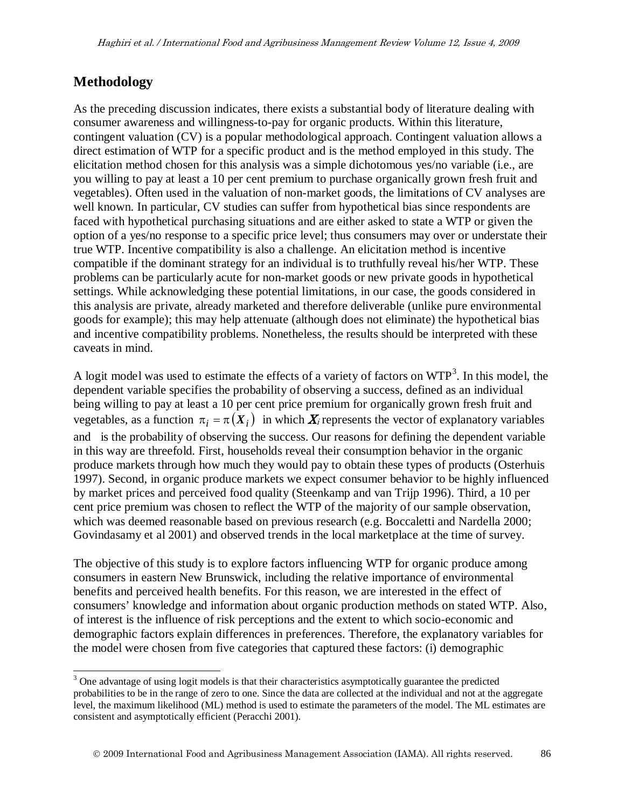## **Methodology**

As the preceding discussion indicates, there exists a substantial body of literature dealing with consumer awareness and willingness-to-pay for organic products. Within this literature, contingent valuation (CV) is a popular methodological approach. Contingent valuation allows a direct estimation of WTP for a specific product and is the method employed in this study. The elicitation method chosen for this analysis was a simple dichotomous yes/no variable (i.e., are you willing to pay at least a 10 per cent premium to purchase organically grown fresh fruit and vegetables). Often used in the valuation of non-market goods, the limitations of CV analyses are well known. In particular, CV studies can suffer from hypothetical bias since respondents are faced with hypothetical purchasing situations and are either asked to state a WTP or given the option of a yes/no response to a specific price level; thus consumers may over or understate their true WTP. Incentive compatibility is also a challenge. An elicitation method is incentive compatible if the dominant strategy for an individual is to truthfully reveal his/her WTP. These problems can be particularly acute for non-market goods or new private goods in hypothetical settings. While acknowledging these potential limitations, in our case, the goods considered in this analysis are private, already marketed and therefore deliverable (unlike pure environmental goods for example); this may help attenuate (although does not eliminate) the hypothetical bias and incentive compatibility problems. Nonetheless, the results should be interpreted with these caveats in mind.

A logit model was used to estimate the effects of a variety of factors on WTP<sup>[3](#page-5-0)</sup>. In this model, the vegetables, as a function  $\pi_i = \pi(X_i)$  in which  $X_i$  represents the vector of explanatory variables dependent variable specifies the probability of observing a success, defined as an individual being willing to pay at least a 10 per cent price premium for organically grown fresh fruit and and is the probability of observing the success. Our reasons for defining the dependent variable in this way are threefold. First, households reveal their consumption behavior in the organic produce markets through how much they would pay to obtain these types of products (Osterhuis 1997). Second, in organic produce markets we expect consumer behavior to be highly influenced by market prices and perceived food quality (Steenkamp and van Trijp 1996). Third, a 10 per cent price premium was chosen to reflect the WTP of the majority of our sample observation, which was deemed reasonable based on previous research (e.g. Boccaletti and Nardella 2000; Govindasamy et al 2001) and observed trends in the local marketplace at the time of survey.

The objective of this study is to explore factors influencing WTP for organic produce among consumers in eastern New Brunswick, including the relative importance of environmental benefits and perceived health benefits. For this reason, we are interested in the effect of consumers' knowledge and information about organic production methods on stated WTP. Also, of interest is the influence of risk perceptions and the extent to which socio-economic and demographic factors explain differences in preferences. Therefore, the explanatory variables for the model were chosen from five categories that captured these factors: (i) demographic

<span id="page-5-0"></span><sup>&</sup>lt;sup>3</sup> One advantage of using logit models is that their characteristics asymptotically guarantee the predicted probabilities to be in the range of zero to one. Since the data are collected at the individual and not at the aggregate level, the maximum likelihood (ML) method is used to estimate the parameters of the model. The ML estimates are consistent and asymptotically efficient (Peracchi 2001).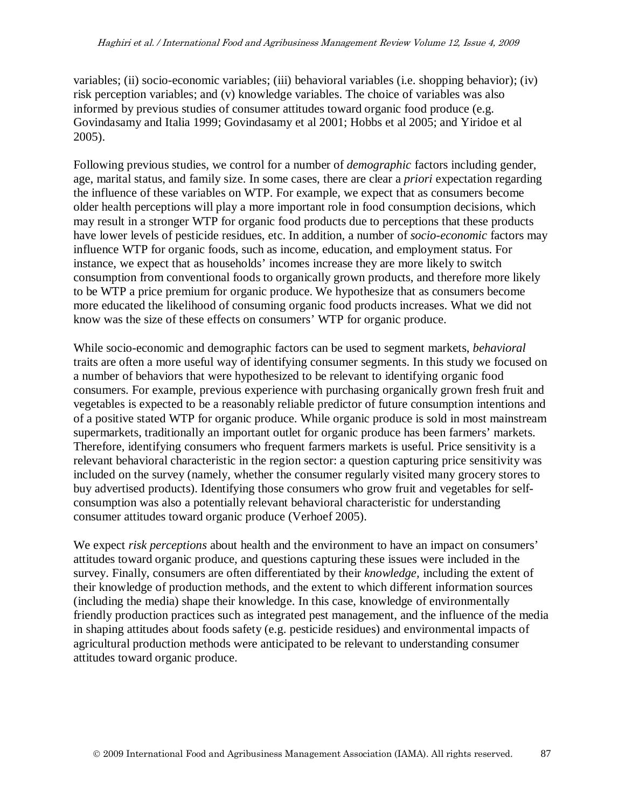variables; (ii) socio-economic variables; (iii) behavioral variables (i.e. shopping behavior); (iv) risk perception variables; and (v) knowledge variables. The choice of variables was also informed by previous studies of consumer attitudes toward organic food produce (e.g. Govindasamy and Italia 1999; Govindasamy et al 2001; Hobbs et al 2005; and Yiridoe et al 2005).

Following previous studies, we control for a number of *demographic* factors including gender, age, marital status, and family size. In some cases, there are clear a *priori* expectation regarding the influence of these variables on WTP. For example, we expect that as consumers become older health perceptions will play a more important role in food consumption decisions, which may result in a stronger WTP for organic food products due to perceptions that these products have lower levels of pesticide residues, etc. In addition, a number of *socio-economic* factors may influence WTP for organic foods, such as income, education, and employment status. For instance, we expect that as households' incomes increase they are more likely to switch consumption from conventional foods to organically grown products, and therefore more likely to be WTP a price premium for organic produce. We hypothesize that as consumers become more educated the likelihood of consuming organic food products increases. What we did not know was the size of these effects on consumers' WTP for organic produce.

While socio-economic and demographic factors can be used to segment markets, *behavioral*  traits are often a more useful way of identifying consumer segments. In this study we focused on a number of behaviors that were hypothesized to be relevant to identifying organic food consumers. For example, previous experience with purchasing organically grown fresh fruit and vegetables is expected to be a reasonably reliable predictor of future consumption intentions and of a positive stated WTP for organic produce. While organic produce is sold in most mainstream supermarkets, traditionally an important outlet for organic produce has been farmers' markets. Therefore, identifying consumers who frequent farmers markets is useful. Price sensitivity is a relevant behavioral characteristic in the region sector: a question capturing price sensitivity was included on the survey (namely, whether the consumer regularly visited many grocery stores to buy advertised products). Identifying those consumers who grow fruit and vegetables for selfconsumption was also a potentially relevant behavioral characteristic for understanding consumer attitudes toward organic produce (Verhoef 2005).

We expect *risk perceptions* about health and the environment to have an impact on consumers' attitudes toward organic produce, and questions capturing these issues were included in the survey. Finally, consumers are often differentiated by their *knowledge,* including the extent of their knowledge of production methods, and the extent to which different information sources (including the media) shape their knowledge. In this case, knowledge of environmentally friendly production practices such as integrated pest management, and the influence of the media in shaping attitudes about foods safety (e.g. pesticide residues) and environmental impacts of agricultural production methods were anticipated to be relevant to understanding consumer attitudes toward organic produce.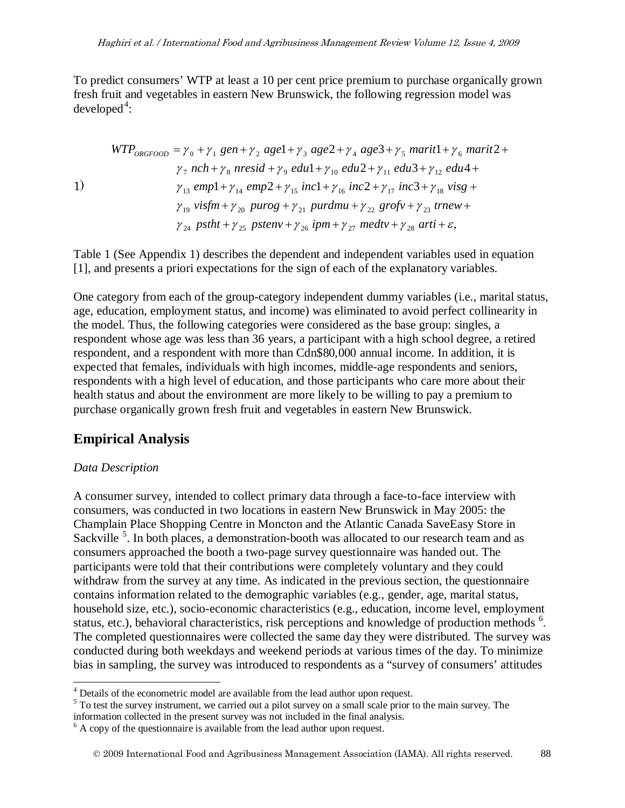To predict consumers' WTP at least a 10 per cent price premium to purchase organically grown fresh fruit and vegetables in eastern New Brunswick, the following regression model was  $developed<sup>4</sup>$  $developed<sup>4</sup>$  $developed<sup>4</sup>$ :

$$
WTP_{ORGFOOD} = \gamma_0 + \gamma_1 gen + \gamma_2 age1 + \gamma_3 age2 + \gamma_4 age3 + \gamma_5 marit1 + \gamma_6 marit2 +
$$
  
\n
$$
\gamma_7 nch + \gamma_8 nresid + \gamma_9 edu1 + \gamma_{10} edu2 + \gamma_{11} edu3 + \gamma_{12} edu4 +
$$
  
\n1)  
\n
$$
\gamma_{13} emp1 + \gamma_{14} emp2 + \gamma_{15} inc1 + \gamma_{16} inc2 + \gamma_{17} inc3 + \gamma_{18} visg +
$$
  
\n
$$
\gamma_{19} visfm + \gamma_{20} purog + \gamma_{21} purdmu + \gamma_{22} grofv + \gamma_{23} trnew +
$$
  
\n
$$
\gamma_{24} pstht + \gamma_{25} pstenv + \gamma_{26} ipm + \gamma_{27} medtv + \gamma_{28} arti + \varepsilon,
$$

Table 1 (See Appendix 1) describes the dependent and independent variables used in equation [1], and presents a priori expectations for the sign of each of the explanatory variables.

One category from each of the group-category independent dummy variables (i.e., marital status, age, education, employment status, and income) was eliminated to avoid perfect collinearity in the model. Thus, the following categories were considered as the base group: singles, a respondent whose age was less than 36 years, a participant with a high school degree, a retired respondent, and a respondent with more than Cdn\$80,000 annual income. In addition, it is expected that females, individuals with high incomes, middle-age respondents and seniors, respondents with a high level of education, and those participants who care more about their health status and about the environment are more likely to be willing to pay a premium to purchase organically grown fresh fruit and vegetables in eastern New Brunswick.

## **Empirical Analysis**

#### *Data Description*

A consumer survey, intended to collect primary data through a face-to-face interview with consumers, was conducted in two locations in eastern New Brunswick in May 2005: the Champlain Place Shopping Centre in Moncton and the Atlantic Canada SaveEasy Store in Sackville<sup>[5](#page-7-1)</sup>. In both places, a demonstration-booth was allocated to our research team and as consumers approached the booth a two-page survey questionnaire was handed out. The participants were told that their contributions were completely voluntary and they could withdraw from the survey at any time. As indicated in the previous section, the questionnaire contains information related to the demographic variables (e.g., gender, age, marital status, household size, etc.), socio-economic characteristics (e.g., education, income level, employment status, etc.), behavioral characteristics, risk perceptions and knowledge of production methods <sup>[6](#page-7-2)</sup>. The completed questionnaires were collected the same day they were distributed. The survey was conducted during both weekdays and weekend periods at various times of the day. To minimize bias in sampling, the survey was introduced to respondents as a "survey of consumers' attitudes

<span id="page-7-0"></span> <sup>4</sup> Details of the econometric model are available from the lead author upon request.

<span id="page-7-1"></span> $5$  To test the survey instrument, we carried out a pilot survey on a small scale prior to the main survey. The information collected in the present survey was not included in the final analysis.

<span id="page-7-2"></span> $<sup>6</sup>$  A copy of the questionnaire is available from the lead author upon request.</sup>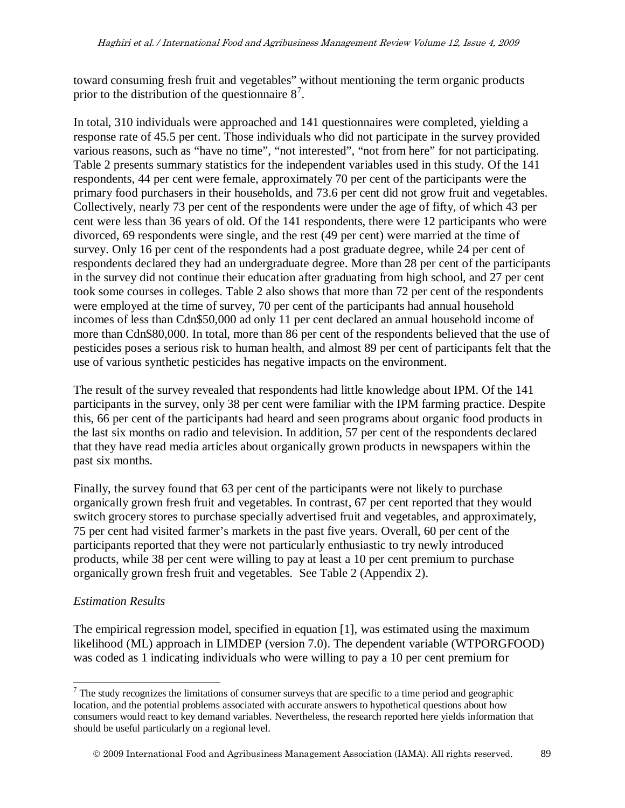toward consuming fresh fruit and vegetables" without mentioning the term organic products prior to the distribution of the questionnaire  $8^7$  $8^7$ .

In total, 310 individuals were approached and 141 questionnaires were completed, yielding a response rate of 45.5 per cent. Those individuals who did not participate in the survey provided various reasons, such as "have no time", "not interested", "not from here" for not participating. Table 2 presents summary statistics for the independent variables used in this study. Of the 141 respondents, 44 per cent were female, approximately 70 per cent of the participants were the primary food purchasers in their households, and 73.6 per cent did not grow fruit and vegetables. Collectively, nearly 73 per cent of the respondents were under the age of fifty, of which 43 per cent were less than 36 years of old. Of the 141 respondents, there were 12 participants who were divorced, 69 respondents were single, and the rest (49 per cent) were married at the time of survey. Only 16 per cent of the respondents had a post graduate degree, while 24 per cent of respondents declared they had an undergraduate degree. More than 28 per cent of the participants in the survey did not continue their education after graduating from high school, and 27 per cent took some courses in colleges. Table 2 also shows that more than 72 per cent of the respondents were employed at the time of survey, 70 per cent of the participants had annual household incomes of less than Cdn\$50,000 ad only 11 per cent declared an annual household income of more than Cdn\$80,000. In total, more than 86 per cent of the respondents believed that the use of pesticides poses a serious risk to human health, and almost 89 per cent of participants felt that the use of various synthetic pesticides has negative impacts on the environment.

The result of the survey revealed that respondents had little knowledge about IPM. Of the 141 participants in the survey, only 38 per cent were familiar with the IPM farming practice. Despite this, 66 per cent of the participants had heard and seen programs about organic food products in the last six months on radio and television. In addition, 57 per cent of the respondents declared that they have read media articles about organically grown products in newspapers within the past six months.

Finally, the survey found that 63 per cent of the participants were not likely to purchase organically grown fresh fruit and vegetables. In contrast, 67 per cent reported that they would switch grocery stores to purchase specially advertised fruit and vegetables, and approximately, 75 per cent had visited farmer's markets in the past five years. Overall, 60 per cent of the participants reported that they were not particularly enthusiastic to try newly introduced products, while 38 per cent were willing to pay at least a 10 per cent premium to purchase organically grown fresh fruit and vegetables. See Table 2 (Appendix 2).

#### *Estimation Results*

The empirical regression model, specified in equation [1], was estimated using the maximum likelihood (ML) approach in LIMDEP (version 7.0). The dependent variable (WTPORGFOOD) was coded as 1 indicating individuals who were willing to pay a 10 per cent premium for

<span id="page-8-0"></span> $<sup>7</sup>$  The study recognizes the limitations of consumer surveys that are specific to a time period and geographic</sup> location, and the potential problems associated with accurate answers to hypothetical questions about how consumers would react to key demand variables. Nevertheless, the research reported here yields information that should be useful particularly on a regional level.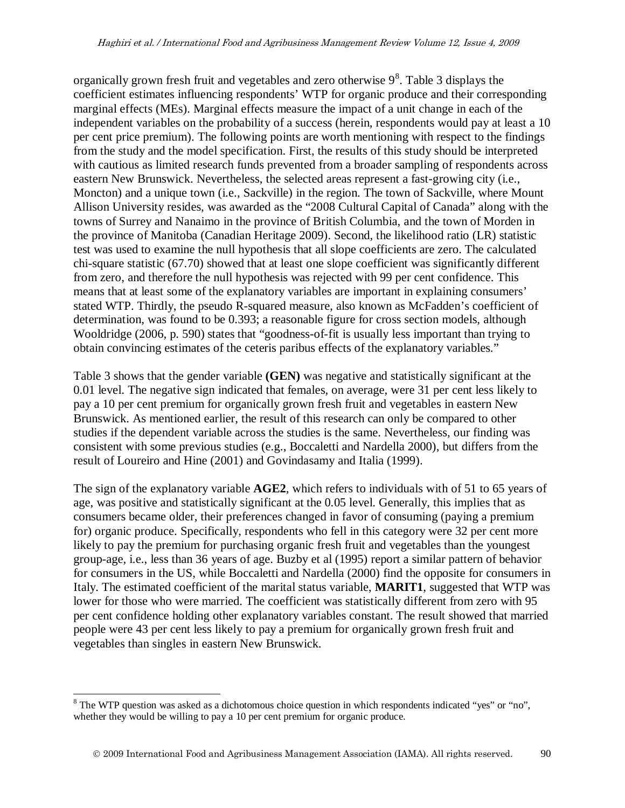organically grown fresh fruit and vegetables and zero otherwise  $9<sup>8</sup>$  $9<sup>8</sup>$  $9<sup>8</sup>$ . Table 3 displays the coefficient estimates influencing respondents' WTP for organic produce and their corresponding marginal effects (MEs). Marginal effects measure the impact of a unit change in each of the independent variables on the probability of a success (herein, respondents would pay at least a 10 per cent price premium). The following points are worth mentioning with respect to the findings from the study and the model specification. First, the results of this study should be interpreted with cautious as limited research funds prevented from a broader sampling of respondents across eastern New Brunswick. Nevertheless, the selected areas represent a fast-growing city (i.e., Moncton) and a unique town (i.e., Sackville) in the region. The town of Sackville, where Mount Allison University resides, was awarded as the "2008 Cultural Capital of Canada" along with the towns of Surrey and Nanaimo in the province of British Columbia, and the town of Morden in the province of Manitoba (Canadian Heritage 2009). Second, the likelihood ratio (LR) statistic test was used to examine the null hypothesis that all slope coefficients are zero. The calculated chi-square statistic (67.70) showed that at least one slope coefficient was significantly different from zero, and therefore the null hypothesis was rejected with 99 per cent confidence. This means that at least some of the explanatory variables are important in explaining consumers' stated WTP. Thirdly, the pseudo R-squared measure, also known as McFadden's coefficient of determination, was found to be 0.393; a reasonable figure for cross section models, although Wooldridge (2006, p. 590) states that "goodness-of-fit is usually less important than trying to obtain convincing estimates of the ceteris paribus effects of the explanatory variables."

Table 3 shows that the gender variable **(GEN)** was negative and statistically significant at the 0.01 level. The negative sign indicated that females, on average, were 31 per cent less likely to pay a 10 per cent premium for organically grown fresh fruit and vegetables in eastern New Brunswick. As mentioned earlier, the result of this research can only be compared to other studies if the dependent variable across the studies is the same. Nevertheless, our finding was consistent with some previous studies (e.g., Boccaletti and Nardella 2000), but differs from the result of Loureiro and Hine (2001) and Govindasamy and Italia (1999).

The sign of the explanatory variable **AGE2**, which refers to individuals with of 51 to 65 years of age, was positive and statistically significant at the 0.05 level. Generally, this implies that as consumers became older, their preferences changed in favor of consuming (paying a premium for) organic produce. Specifically, respondents who fell in this category were 32 per cent more likely to pay the premium for purchasing organic fresh fruit and vegetables than the youngest group-age, i.e., less than 36 years of age. Buzby et al (1995) report a similar pattern of behavior for consumers in the US, while Boccaletti and Nardella (2000) find the opposite for consumers in Italy. The estimated coefficient of the marital status variable, **MARIT1**, suggested that WTP was lower for those who were married. The coefficient was statistically different from zero with 95 per cent confidence holding other explanatory variables constant. The result showed that married people were 43 per cent less likely to pay a premium for organically grown fresh fruit and vegetables than singles in eastern New Brunswick.

<span id="page-9-0"></span><sup>&</sup>lt;sup>8</sup> The WTP question was asked as a dichotomous choice question in which respondents indicated "yes" or "no", whether they would be willing to pay a 10 per cent premium for organic produce.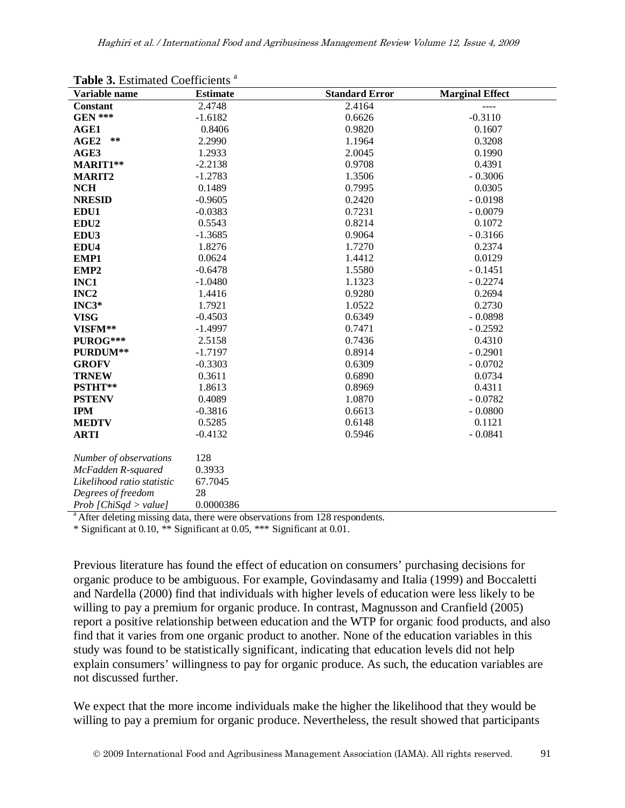| Variable name              | <b>Estimate</b> | <b>Standard Error</b> | <b>Marginal Effect</b> |
|----------------------------|-----------------|-----------------------|------------------------|
| <b>Constant</b>            | 2.4748          | 2.4164                |                        |
| <b>GEN ***</b>             | $-1.6182$       | 0.6626                | $-0.3110$              |
| AGE1                       | 0.8406          | 0.9820                | 0.1607                 |
| $***$<br>AGE <sub>2</sub>  | 2.2990          | 1.1964                | 0.3208                 |
| AGE3                       | 1.2933          | 2.0045                | 0.1990                 |
| MARIT1**                   | $-2.2138$       | 0.9708                | 0.4391                 |
| <b>MARIT2</b>              | $-1.2783$       | 1.3506                | $-0.3006$              |
| <b>NCH</b>                 | 0.1489          | 0.7995                | 0.0305                 |
| <b>NRESID</b>              | $-0.9605$       | 0.2420                | $-0.0198$              |
| EDU1                       | $-0.0383$       | 0.7231                | $-0.0079$              |
| EDU <sub>2</sub>           | 0.5543          | 0.8214                | 0.1072                 |
| EDU3                       | $-1.3685$       | 0.9064                | $-0.3166$              |
| EDU4                       | 1.8276          | 1.7270                | 0.2374                 |
| EMP1                       | 0.0624          | 1.4412                | 0.0129                 |
| EMP <sub>2</sub>           | $-0.6478$       | 1.5580                | $-0.1451$              |
| INC1                       | $-1.0480$       | 1.1323                | $-0.2274$              |
| INC <sub>2</sub>           | 1.4416          | 0.9280                | 0.2694                 |
| $INC3*$                    | 1.7921          | 1.0522                | 0.2730                 |
| <b>VISG</b>                | $-0.4503$       | 0.6349                | $-0.0898$              |
| VISFM**                    | $-1.4997$       | 0.7471                | $-0.2592$              |
| PUROG***                   | 2.5158          | 0.7436                | 0.4310                 |
| PURDUM**                   | $-1.7197$       | 0.8914                | $-0.2901$              |
| <b>GROFV</b>               | $-0.3303$       | 0.6309                | $-0.0702$              |
| <b>TRNEW</b>               | 0.3611          | 0.6890                | 0.0734                 |
| PSTHT**                    | 1.8613          | 0.8969                | 0.4311                 |
| <b>PSTENV</b>              | 0.4089          | 1.0870                | $-0.0782$              |
| <b>IPM</b>                 | $-0.3816$       | 0.6613                | $-0.0800$              |
| <b>MEDTV</b>               | 0.5285          | 0.6148                | 0.1121                 |
| <b>ARTI</b>                | $-0.4132$       | 0.5946                | $-0.0841$              |
| Number of observations     | 128             |                       |                        |
| McFadden R-squared         | 0.3933          |                       |                        |
| Likelihood ratio statistic | 67.7045         |                       |                        |
| Degrees of freedom         | 28              |                       |                        |
| $Prob$ [ChiSqd > value]    | 0.0000386       |                       |                        |

Table 3. Estimated Coefficients<sup>a</sup>

<sup>a</sup> After deleting missing data, there were observations from 128 respondents.

\* Significant at 0.10, \*\* Significant at 0.05, \*\*\* Significant at 0.01.

Previous literature has found the effect of education on consumers' purchasing decisions for organic produce to be ambiguous. For example, Govindasamy and Italia (1999) and Boccaletti and Nardella (2000) find that individuals with higher levels of education were less likely to be willing to pay a premium for organic produce. In contrast, Magnusson and Cranfield (2005) report a positive relationship between education and the WTP for organic food products, and also find that it varies from one organic product to another. None of the education variables in this study was found to be statistically significant, indicating that education levels did not help explain consumers' willingness to pay for organic produce. As such, the education variables are not discussed further.

We expect that the more income individuals make the higher the likelihood that they would be willing to pay a premium for organic produce. Nevertheless, the result showed that participants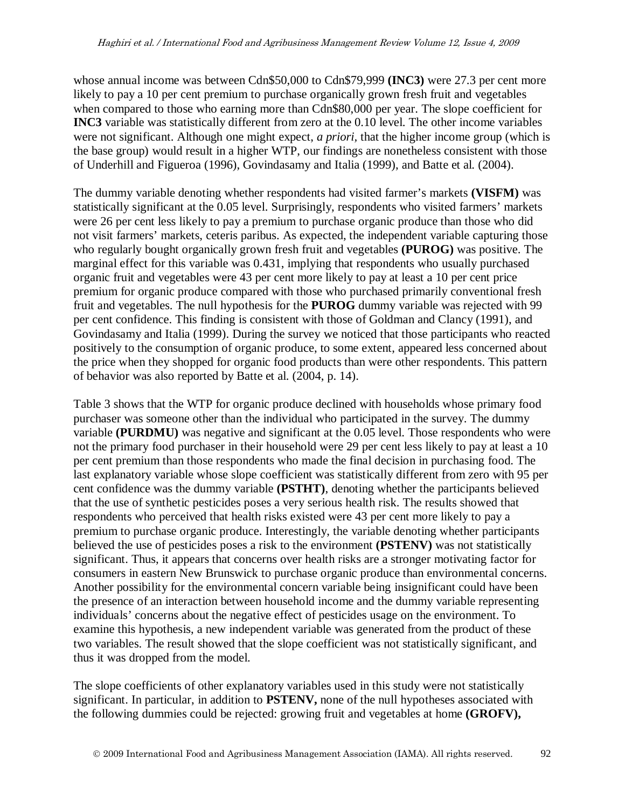whose annual income was between Cdn\$50,000 to Cdn\$79,999 **(INC3)** were 27.3 per cent more likely to pay a 10 per cent premium to purchase organically grown fresh fruit and vegetables when compared to those who earning more than Cdn\$80,000 per year. The slope coefficient for **INC3** variable was statistically different from zero at the 0.10 level. The other income variables were not significant. Although one might expect, *a priori,* that the higher income group (which is the base group) would result in a higher WTP, our findings are nonetheless consistent with those of Underhill and Figueroa (1996), Govindasamy and Italia (1999), and Batte et al. (2004).

The dummy variable denoting whether respondents had visited farmer's markets **(VISFM)** was statistically significant at the 0.05 level. Surprisingly, respondents who visited farmers' markets were 26 per cent less likely to pay a premium to purchase organic produce than those who did not visit farmers' markets, ceteris paribus. As expected, the independent variable capturing those who regularly bought organically grown fresh fruit and vegetables **(PUROG)** was positive. The marginal effect for this variable was 0.431, implying that respondents who usually purchased organic fruit and vegetables were 43 per cent more likely to pay at least a 10 per cent price premium for organic produce compared with those who purchased primarily conventional fresh fruit and vegetables. The null hypothesis for the **PUROG** dummy variable was rejected with 99 per cent confidence. This finding is consistent with those of Goldman and Clancy (1991), and Govindasamy and Italia (1999). During the survey we noticed that those participants who reacted positively to the consumption of organic produce, to some extent, appeared less concerned about the price when they shopped for organic food products than were other respondents. This pattern of behavior was also reported by Batte et al. (2004, p. 14).

Table 3 shows that the WTP for organic produce declined with households whose primary food purchaser was someone other than the individual who participated in the survey. The dummy variable **(PURDMU)** was negative and significant at the 0.05 level. Those respondents who were not the primary food purchaser in their household were 29 per cent less likely to pay at least a 10 per cent premium than those respondents who made the final decision in purchasing food. The last explanatory variable whose slope coefficient was statistically different from zero with 95 per cent confidence was the dummy variable **(PSTHT)**, denoting whether the participants believed that the use of synthetic pesticides poses a very serious health risk. The results showed that respondents who perceived that health risks existed were 43 per cent more likely to pay a premium to purchase organic produce. Interestingly, the variable denoting whether participants believed the use of pesticides poses a risk to the environment **(PSTENV)** was not statistically significant. Thus, it appears that concerns over health risks are a stronger motivating factor for consumers in eastern New Brunswick to purchase organic produce than environmental concerns. Another possibility for the environmental concern variable being insignificant could have been the presence of an interaction between household income and the dummy variable representing individuals' concerns about the negative effect of pesticides usage on the environment. To examine this hypothesis, a new independent variable was generated from the product of these two variables. The result showed that the slope coefficient was not statistically significant, and thus it was dropped from the model.

The slope coefficients of other explanatory variables used in this study were not statistically significant. In particular, in addition to **PSTENV,** none of the null hypotheses associated with the following dummies could be rejected: growing fruit and vegetables at home **(GROFV),**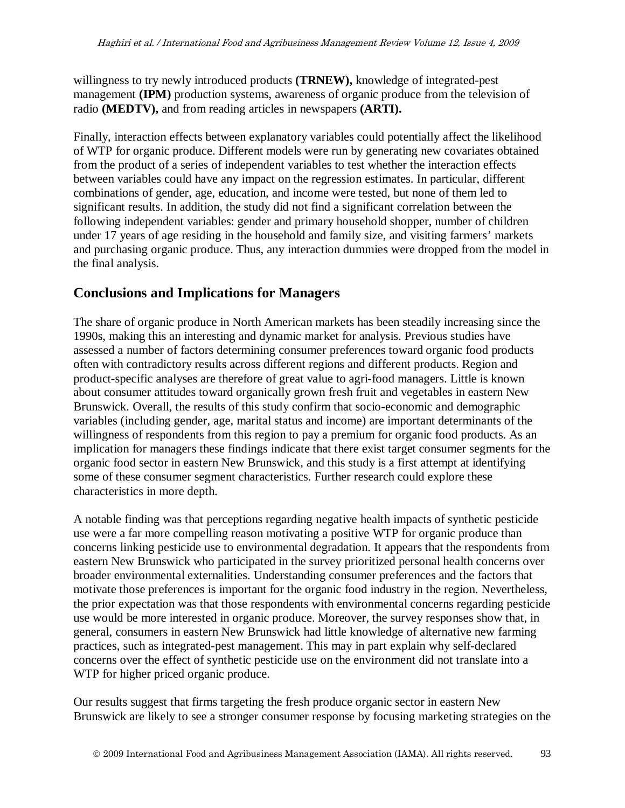willingness to try newly introduced products **(TRNEW),** knowledge of integrated-pest management **(IPM)** production systems, awareness of organic produce from the television of radio **(MEDTV),** and from reading articles in newspapers **(ARTI).** 

Finally, interaction effects between explanatory variables could potentially affect the likelihood of WTP for organic produce. Different models were run by generating new covariates obtained from the product of a series of independent variables to test whether the interaction effects between variables could have any impact on the regression estimates. In particular, different combinations of gender, age, education, and income were tested, but none of them led to significant results. In addition, the study did not find a significant correlation between the following independent variables: gender and primary household shopper, number of children under 17 years of age residing in the household and family size, and visiting farmers' markets and purchasing organic produce. Thus, any interaction dummies were dropped from the model in the final analysis.

## **Conclusions and Implications for Managers**

The share of organic produce in North American markets has been steadily increasing since the 1990s, making this an interesting and dynamic market for analysis. Previous studies have assessed a number of factors determining consumer preferences toward organic food products often with contradictory results across different regions and different products. Region and product-specific analyses are therefore of great value to agri-food managers. Little is known about consumer attitudes toward organically grown fresh fruit and vegetables in eastern New Brunswick. Overall, the results of this study confirm that socio-economic and demographic variables (including gender, age, marital status and income) are important determinants of the willingness of respondents from this region to pay a premium for organic food products. As an implication for managers these findings indicate that there exist target consumer segments for the organic food sector in eastern New Brunswick, and this study is a first attempt at identifying some of these consumer segment characteristics. Further research could explore these characteristics in more depth.

A notable finding was that perceptions regarding negative health impacts of synthetic pesticide use were a far more compelling reason motivating a positive WTP for organic produce than concerns linking pesticide use to environmental degradation. It appears that the respondents from eastern New Brunswick who participated in the survey prioritized personal health concerns over broader environmental externalities. Understanding consumer preferences and the factors that motivate those preferences is important for the organic food industry in the region. Nevertheless, the prior expectation was that those respondents with environmental concerns regarding pesticide use would be more interested in organic produce. Moreover, the survey responses show that, in general, consumers in eastern New Brunswick had little knowledge of alternative new farming practices, such as integrated-pest management. This may in part explain why self-declared concerns over the effect of synthetic pesticide use on the environment did not translate into a WTP for higher priced organic produce.

Our results suggest that firms targeting the fresh produce organic sector in eastern New Brunswick are likely to see a stronger consumer response by focusing marketing strategies on the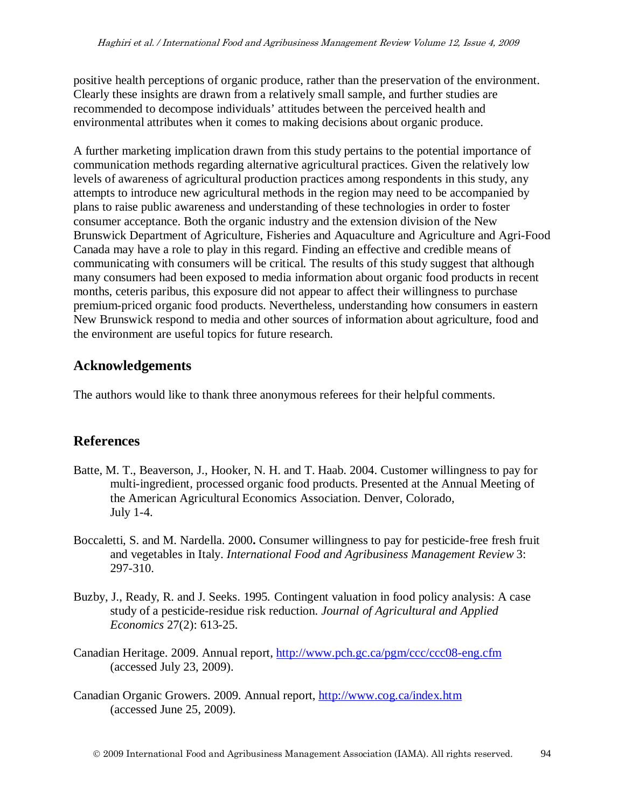positive health perceptions of organic produce, rather than the preservation of the environment. Clearly these insights are drawn from a relatively small sample, and further studies are recommended to decompose individuals' attitudes between the perceived health and environmental attributes when it comes to making decisions about organic produce.

A further marketing implication drawn from this study pertains to the potential importance of communication methods regarding alternative agricultural practices. Given the relatively low levels of awareness of agricultural production practices among respondents in this study, any attempts to introduce new agricultural methods in the region may need to be accompanied by plans to raise public awareness and understanding of these technologies in order to foster consumer acceptance. Both the organic industry and the extension division of the New Brunswick Department of Agriculture, Fisheries and Aquaculture and Agriculture and Agri-Food Canada may have a role to play in this regard. Finding an effective and credible means of communicating with consumers will be critical. The results of this study suggest that although many consumers had been exposed to media information about organic food products in recent months, ceteris paribus, this exposure did not appear to affect their willingness to purchase premium-priced organic food products. Nevertheless, understanding how consumers in eastern New Brunswick respond to media and other sources of information about agriculture, food and the environment are useful topics for future research.

## **Acknowledgements**

The authors would like to thank three anonymous referees for their helpful comments.

## **References**

- Batte, M. T., Beaverson, J., Hooker, N. H. and T. Haab. 2004. Customer willingness to pay for multi-ingredient, processed organic food products. Presented at the Annual Meeting of the American Agricultural Economics Association. Denver, Colorado, July 1-4.
- Boccaletti, S. and M. Nardella. 2000**.** Consumer willingness to pay for pesticide-free fresh fruit and vegetables in Italy. *International Food and Agribusiness Management Review* 3: 297-310.
- Buzby, J., Ready, R. and J. Seeks. 1995. Contingent valuation in food policy analysis: A case study of a pesticide-residue risk reduction. *Journal of Agricultural and Applied Economics* 27(2): 613-25.
- Canadian Heritage. 2009. Annual report,<http://www.pch.gc.ca/pgm/ccc/ccc08-eng.cfm> (accessed July 23, 2009).
- Canadian Organic Growers. 2009. Annual report, <http://www.cog.ca/index.htm> (accessed June 25, 2009).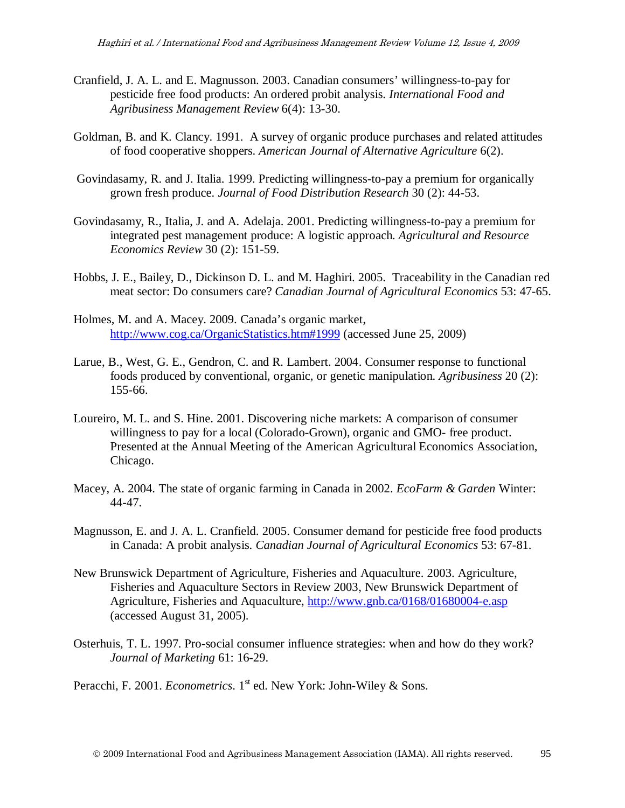- Cranfield, J. A. L. and E. Magnusson. 2003. Canadian consumers' willingness-to-pay for pesticide free food products: An ordered probit analysis. *International Food and Agribusiness Management Review* 6(4): 13-30.
- Goldman, B. and K. Clancy. 1991.A survey of organic produce purchases and related attitudes of food cooperative shoppers. *American Journal of Alternative Agriculture* 6(2).
- Govindasamy, R. and J. Italia. 1999. Predicting willingness-to-pay a premium for organically grown fresh produce. *Journal of Food Distribution Research* 30 (2): 44-53.
- Govindasamy, R., Italia, J. and A. Adelaja. 2001. Predicting willingness-to-pay a premium for integrated pest management produce: A logistic approach. *Agricultural and Resource Economics Review* 30 (2): 151-59.
- Hobbs, J. E., Bailey, D., Dickinson D. L. and M. Haghiri. 2005. Traceability in the Canadian red meat sector: Do consumers care? *Canadian Journal of Agricultural Economics* 53: 47-65.
- Holmes, M. and A. Macey. 2009. Canada's organic market, <http://www.cog.ca/OrganicStatistics.htm#1999> (accessed June 25, 2009)
- Larue, B., West, G. E., Gendron, C. and R. Lambert. 2004. Consumer response to functional foods produced by conventional, organic, or genetic manipulation. *Agribusiness* 20 (2): 155-66.
- Loureiro, M. L. and S. Hine. 2001. Discovering niche markets: A comparison of consumer willingness to pay for a local (Colorado-Grown), organic and GMO- free product. Presented at the Annual Meeting of the American Agricultural Economics Association, Chicago.
- Macey, A. 2004. The state of organic farming in Canada in 2002. *EcoFarm & Garden* Winter: 44-47.
- Magnusson, E. and J. A. L. Cranfield. 2005. Consumer demand for pesticide free food products in Canada: A probit analysis. *Canadian Journal of Agricultural Economics* 53: 67-81.
- New Brunswick Department of Agriculture, Fisheries and Aquaculture. 2003. Agriculture, Fisheries and Aquaculture Sectors in Review 2003, New Brunswick Department of Agriculture, Fisheries and Aquaculture,<http://www.gnb.ca/0168/01680004-e.asp> (accessed August 31, 2005).
- Osterhuis, T. L. 1997. Pro-social consumer influence strategies: when and how do they work? *Journal of Marketing* 61: 16-29.

Peracchi, F. 2001. *Econometrics*. 1<sup>st</sup> ed. New York: John-Wiley & Sons.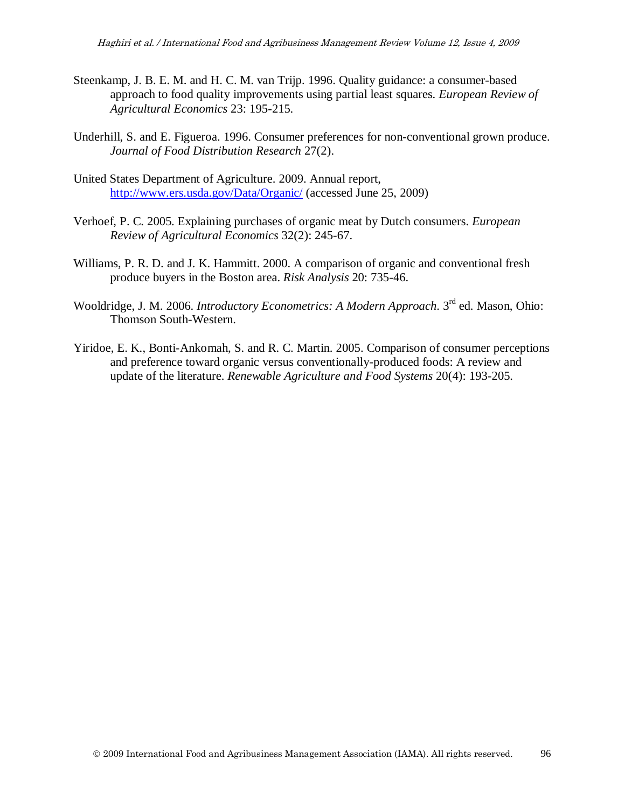- Steenkamp, J. B. E. M. and H. C. M. van Trijp. 1996. Quality guidance: a consumer-based approach to food quality improvements using partial least squares. *European Review of Agricultural Economics* 23: 195-215.
- Underhill, S. and E. Figueroa. 1996. Consumer preferences for non-conventional grown produce. *Journal of Food Distribution Research* 27(2).
- United States Department of Agriculture. 2009. Annual report, <http://www.ers.usda.gov/Data/Organic/> (accessed June 25, 2009)
- Verhoef, P. C. 2005. Explaining purchases of organic meat by Dutch consumers. *European Review of Agricultural Economics* 32(2): 245-67.
- Williams, P. R. D. and J. K. Hammitt. 2000. A comparison of organic and conventional fresh produce buyers in the Boston area. *Risk Analysis* 20: 735-46.
- Wooldridge, J. M. 2006. *Introductory Econometrics: A Modern Approach*. 3<sup>rd</sup> ed. Mason, Ohio: Thomson South-Western.
- Yiridoe, E. K., Bonti-Ankomah, S. and R. C. Martin. 2005. Comparison of consumer perceptions and preference toward organic versus conventionally-produced foods: A review and update of the literature. *Renewable Agriculture and Food Systems* 20(4): 193-205.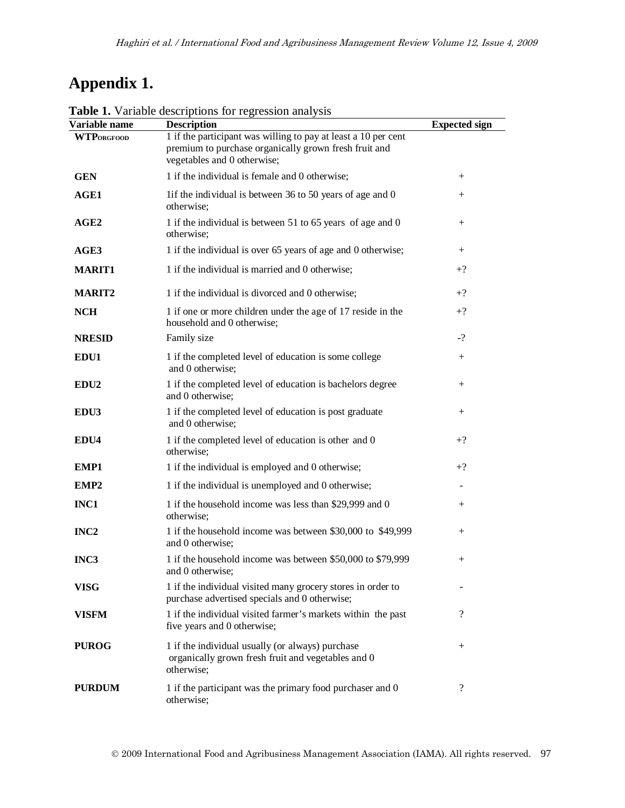# **Appendix 1.**

| Variable name     | <b>Table 1.</b> Variable descriptions for regression analysis<br><b>Description</b>                                                                    | <b>Expected sign</b> |
|-------------------|--------------------------------------------------------------------------------------------------------------------------------------------------------|----------------------|
| <b>WTPORGFOOD</b> | 1 if the participant was willing to pay at least a 10 per cent<br>premium to purchase organically grown fresh fruit and<br>vegetables and 0 otherwise; |                      |
| <b>GEN</b>        | 1 if the individual is female and 0 otherwise;                                                                                                         | $^{+}$               |
| AGE1              | 1if the individual is between 36 to 50 years of age and 0<br>otherwise;                                                                                | $^{+}$               |
| AGE2              | 1 if the individual is between 51 to 65 years of age and 0<br>otherwise;                                                                               | $^{+}$               |
| AGE3              | 1 if the individual is over 65 years of age and 0 otherwise;                                                                                           | $^{+}$               |
| <b>MARIT1</b>     | 1 if the individual is married and 0 otherwise;                                                                                                        | $+?$                 |
| <b>MARIT2</b>     | 1 if the individual is divorced and 0 otherwise;                                                                                                       | $+?$                 |
| <b>NCH</b>        | 1 if one or more children under the age of 17 reside in the<br>household and 0 otherwise;                                                              | $+?$                 |
| <b>NRESID</b>     | Family size                                                                                                                                            | $-?$                 |
| EDU1              | 1 if the completed level of education is some college<br>and 0 otherwise;                                                                              | $^{+}$               |
| EDU <sub>2</sub>  | 1 if the completed level of education is bachelors degree<br>and 0 otherwise;                                                                          | $^{+}$               |
| EDU3              | 1 if the completed level of education is post graduate<br>and 0 otherwise;                                                                             | $^{+}$               |
| EDU4              | 1 if the completed level of education is other and 0<br>otherwise;                                                                                     | $+?$                 |
| EMP1              | 1 if the individual is employed and 0 otherwise;                                                                                                       | $+?$                 |
| EMP2              | 1 if the individual is unemployed and 0 otherwise;                                                                                                     |                      |
| INC1              | 1 if the household income was less than \$29,999 and 0<br>otherwise;                                                                                   | $^{+}$               |
| INC <sub>2</sub>  | 1 if the household income was between \$30,000 to \$49,999<br>and 0 otherwise;                                                                         | $^{+}$               |
| INC <sub>3</sub>  | 1 if the household income was between \$50,000 to \$79,999<br>and 0 otherwise;                                                                         | $^{+}$               |
| <b>VISG</b>       | 1 if the individual visited many grocery stores in order to<br>purchase advertised specials and 0 otherwise;                                           |                      |
| VISFM             | 1 if the individual visited farmer's markets within the past<br>five years and 0 otherwise;                                                            | $\overline{?}$       |
| <b>PUROG</b>      | 1 if the individual usually (or always) purchase<br>organically grown fresh fruit and vegetables and 0<br>otherwise;                                   | $^{+}$               |
| <b>PURDUM</b>     | 1 if the participant was the primary food purchaser and 0<br>otherwise;                                                                                | $\overline{?}$       |

**Table 1.** Variable descriptions for regression analysis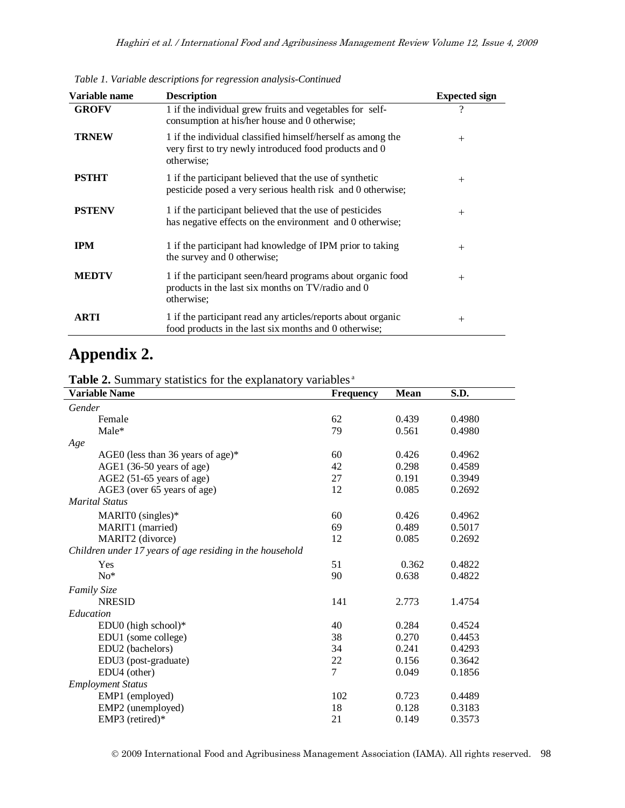| Variable name | <b>Description</b>                                                                                                                  | <b>Expected sign</b> |
|---------------|-------------------------------------------------------------------------------------------------------------------------------------|----------------------|
| <b>GROFV</b>  | 1 if the individual grew fruits and vegetables for self-<br>consumption at his/her house and 0 otherwise;                           | ?                    |
| <b>TRNEW</b>  | 1 if the individual classified himself/herself as among the<br>very first to try newly introduced food products and 0<br>otherwise; | $+$                  |
| <b>PSTHT</b>  | 1 if the participant believed that the use of synthetic<br>pesticide posed a very serious health risk and 0 otherwise;              | $+$                  |
| <b>PSTENV</b> | 1 if the participant believed that the use of pesticides<br>has negative effects on the environment and 0 otherwise;                | $+$                  |
| <b>IPM</b>    | 1 if the participant had knowledge of IPM prior to taking<br>the survey and 0 otherwise;                                            | $+$                  |
| <b>MEDTV</b>  | 1 if the participant seen/heard programs about organic food<br>products in the last six months on TV/radio and 0<br>otherwise;      | $^{+}$               |
| ARTI          | 1 if the participant read any articles/reports about organic<br>food products in the last six months and 0 otherwise;               | $^{+}$               |

*Table 1. Variable descriptions for regression analysis-Continued*

## **Appendix 2.**

Table 2. Summary statistics for the explanatory variables<sup>a</sup>

| <b>Variable Name</b>                                     | Frequency      | <b>Mean</b> | S.D.   |
|----------------------------------------------------------|----------------|-------------|--------|
| Gender                                                   |                |             |        |
| Female                                                   | 62             | 0.439       | 0.4980 |
| Male*                                                    | 79             | 0.561       | 0.4980 |
| Age                                                      |                |             |        |
| AGEO (less than 36 years of age) $*$                     | 60             | 0.426       | 0.4962 |
| AGE1 (36-50 years of age)                                | 42             | 0.298       | 0.4589 |
| AGE2 (51-65 years of age)                                | 27             | 0.191       | 0.3949 |
| AGE3 (over 65 years of age)                              | 12             | 0.085       | 0.2692 |
| <b>Marital Status</b>                                    |                |             |        |
| MARITO (singles)*                                        | 60             | 0.426       | 0.4962 |
| MARIT1 (married)                                         | 69             | 0.489       | 0.5017 |
| MARIT2 (divorce)                                         | 12             | 0.085       | 0.2692 |
| Children under 17 years of age residing in the household |                |             |        |
| Yes                                                      | 51             | 0.362       | 0.4822 |
| $No*$                                                    | 90             | 0.638       | 0.4822 |
| <b>Family Size</b>                                       |                |             |        |
| <b>NRESID</b>                                            | 141            | 2.773       | 1.4754 |
| Education                                                |                |             |        |
| EDU0 (high school) $*$                                   | 40             | 0.284       | 0.4524 |
| EDU1 (some college)                                      | 38             | 0.270       | 0.4453 |
| EDU2 (bachelors)                                         | 34             | 0.241       | 0.4293 |
| EDU3 (post-graduate)                                     | 22             | 0.156       | 0.3642 |
| EDU4 (other)                                             | $\overline{7}$ | 0.049       | 0.1856 |
| <b>Employment Status</b>                                 |                |             |        |
| EMP1 (employed)                                          | 102            | 0.723       | 0.4489 |
| EMP2 (unemployed)                                        | 18             | 0.128       | 0.3183 |
| EMP3 (retired)*                                          | 21             | 0.149       | 0.3573 |